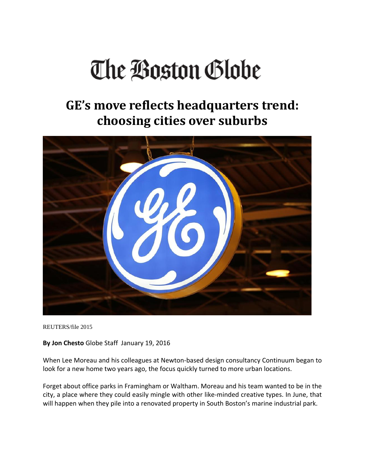## The Boston Globe

## **GE's move reflects headquarters trend: choosing cities over suburbs**



REUTERS/file 2015

**By Jon Chesto** Globe Staff January 19, 2016

When Lee Moreau and his colleagues at Newton‐based design consultancy Continuum began to look for a new home two years ago, the focus quickly turned to more urban locations.

Forget about office parks in Framingham or Waltham. Moreau and his team wanted to be in the city, a place where they could easily mingle with other like‐minded creative types. In June, that will happen when they pile into a renovated property in South Boston's marine industrial park.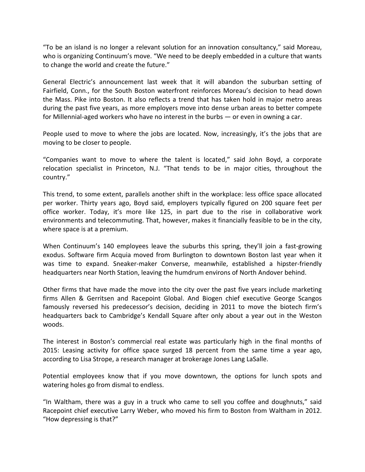"To be an island is no longer a relevant solution for an innovation consultancy," said Moreau, who is organizing Continuum's move. "We need to be deeply embedded in a culture that wants to change the world and create the future."

General Electric's announcement last week that it will abandon the suburban setting of Fairfield, Conn., for the South Boston waterfront reinforces Moreau's decision to head down the Mass. Pike into Boston. It also reflects a trend that has taken hold in major metro areas during the past five years, as more employers move into dense urban areas to better compete for Millennial-aged workers who have no interest in the burbs — or even in owning a car.

People used to move to where the jobs are located. Now, increasingly, it's the jobs that are moving to be closer to people.

"Companies want to move to where the talent is located," said John Boyd, a corporate relocation specialist in Princeton, N.J. "That tends to be in major cities, throughout the country."

This trend, to some extent, parallels another shift in the workplace: less office space allocated per worker. Thirty years ago, Boyd said, employers typically figured on 200 square feet per office worker. Today, it's more like 125, in part due to the rise in collaborative work environments and telecommuting. That, however, makes it financially feasible to be in the city, where space is at a premium.

When Continuum's 140 employees leave the suburbs this spring, they'll join a fast-growing exodus. Software firm Acquia moved from Burlington to downtown Boston last year when it was time to expand. Sneaker-maker Converse, meanwhile, established a hipster-friendly headquarters near North Station, leaving the humdrum environs of North Andover behind.

Other firms that have made the move into the city over the past five years include marketing firms Allen & Gerritsen and Racepoint Global. And Biogen chief executive George Scangos famously reversed his predecessor's decision, deciding in 2011 to move the biotech firm's headquarters back to Cambridge's Kendall Square after only about a year out in the Weston woods.

The interest in Boston's commercial real estate was particularly high in the final months of 2015: Leasing activity for office space surged 18 percent from the same time a year ago, according to Lisa Strope, a research manager at brokerage Jones Lang LaSalle.

Potential employees know that if you move downtown, the options for lunch spots and watering holes go from dismal to endless.

"In Waltham, there was a guy in a truck who came to sell you coffee and doughnuts," said Racepoint chief executive Larry Weber, who moved his firm to Boston from Waltham in 2012. "How depressing is that?"